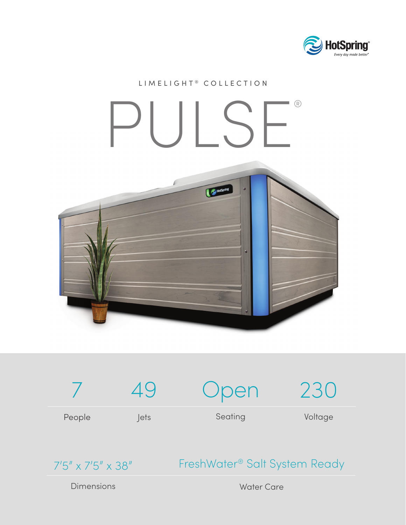

## LIMELIGHT<sup>®</sup> COLLECTION PULSE®HotSpring



7'5" x 7'5" x 38"

## FreshWater® Salt System Ready

Dimensions

Water Care